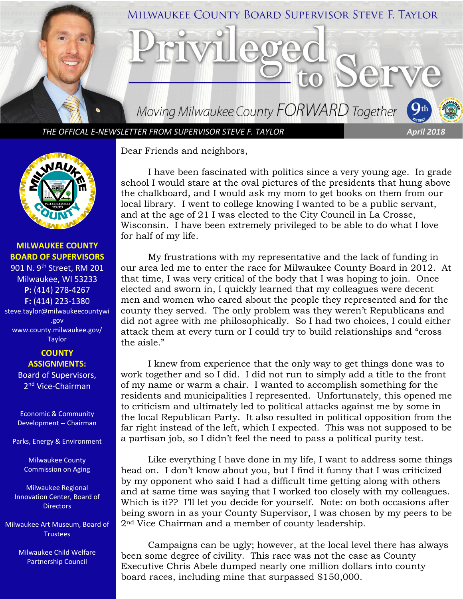

*THE OFFICAL E-NEWSLETTER FROM SUPERVISOR STEVE F. TAYLOR April 2018*



## **MILWAUKEE COUNTY BOARD OF SUPERVISORS**

901 N. 9<sup>th</sup> Street, RM 201 Milwaukee, WI 53233 **P:** (414) 278-4267 **F:** (414) 223-1380 steve.taylor@milwaukeecountywi .gov [www.county.milwaukee.gov/](http://www.county.milwaukee.gov/Taylor) [Taylor](http://www.county.milwaukee.gov/Taylor)

## **COUNTY ASSIGNMENTS:** Board of Supervisors,

2<sup>nd</sup> Vice-Chairman

Economic & Community Development -- Chairman

Parks, Energy & Environment

Milwaukee County Commission on Aging

Milwaukee Regional Innovation Center, Board of **Directors** 

Milwaukee Art Museum, Board of **Trustees** 

> Milwaukee Child Welfare Partnership Council

Dear Friends and neighbors,

I have been fascinated with politics since a very young age. In grade school I would stare at the oval pictures of the presidents that hung above the chalkboard, and I would ask my mom to get books on them from our local library. I went to college knowing I wanted to be a public servant, and at the age of 21 I was elected to the City Council in La Crosse, Wisconsin. I have been extremely privileged to be able to do what I love for half of my life.

My frustrations with my representative and the lack of funding in our area led me to enter the race for Milwaukee County Board in 2012. At that time, I was very critical of the body that I was hoping to join. Once elected and sworn in, I quickly learned that my colleagues were decent men and women who cared about the people they represented and for the county they served. The only problem was they weren't Republicans and did not agree with me philosophically. So I had two choices, I could either attack them at every turn or I could try to build relationships and "cross the aisle."

I knew from experience that the only way to get things done was to work together and so I did. I did not run to simply add a title to the front of my name or warm a chair. I wanted to accomplish something for the residents and municipalities I represented. Unfortunately, this opened me to criticism and ultimately led to political attacks against me by some in the local Republican Party. It also resulted in political opposition from the far right instead of the left, which I expected. This was not supposed to be a partisan job, so I didn't feel the need to pass a political purity test.

Like everything I have done in my life, I want to address some things head on. I don't know about you, but I find it funny that I was criticized by my opponent who said I had a difficult time getting along with others and at same time was saying that I worked too closely with my colleagues. Which is it?? I'll let you decide for yourself. Note: on both occasions after being sworn in as your County Supervisor, I was chosen by my peers to be 2nd Vice Chairman and a member of county leadership.

Campaigns can be ugly; however, at the local level there has always been some degree of civility. This race was not the case as County Executive Chris Abele dumped nearly one million dollars into county board races, including mine that surpassed \$150,000.